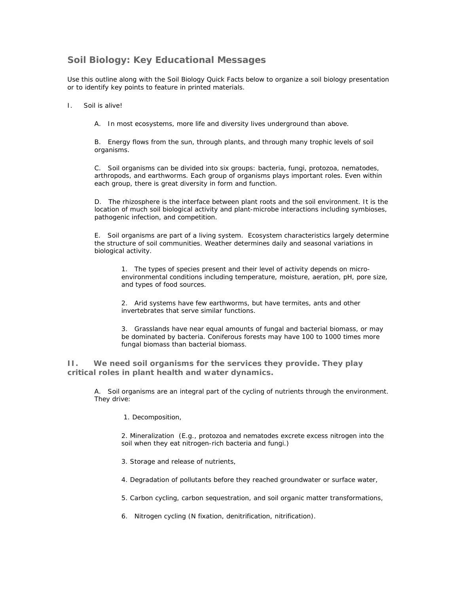## **Soil Biology: Key Educational Messages**

Use this outline along with the Soil Biology Quick Facts below to organize a soil biology presentation or to identify key points to feature in printed materials.

## I. Soil is alive!

A. In most ecosystems, more life and diversity lives underground than above.

B. Energy flows from the sun, through plants, and through many trophic levels of soil organisms.

C. Soil organisms can be divided into six groups: bacteria, fungi, protozoa, nematodes, arthropods, and earthworms. Each group of organisms plays important roles. Even within each group, there is great diversity in form and function.

D. The rhizosphere is the interface between plant roots and the soil environment. It is the location of much soil biological activity and plant-microbe interactions including symbioses, pathogenic infection, and competition.

E. Soil organisms are part of a living system. Ecosystem characteristics largely determine the structure of soil communities. Weather determines daily and seasonal variations in biological activity.

1. The types of species present and their level of activity depends on microenvironmental conditions including temperature, moisture, aeration, pH, pore size, and types of food sources.

2. Arid systems have few earthworms, but have termites, ants and other invertebrates that serve similar functions.

3. Grasslands have near equal amounts of fungal and bacterial biomass, or may be dominated by bacteria. Coniferous forests may have 100 to 1000 times more fungal biomass than bacterial biomass.

**II. We need soil organisms for the services they provide. They play critical roles in plant health and water dynamics.**

A. Soil organisms are an integral part of the cycling of nutrients through the environment. They drive:

1. Decomposition,

2. Mineralization (E.g., protozoa and nematodes excrete excess nitrogen into the soil when they eat nitrogen-rich bacteria and fungi.)

3. Storage and release of nutrients,

4. Degradation of pollutants before they reached groundwater or surface water,

5. Carbon cycling, carbon sequestration, and soil organic matter transformations,

6. Nitrogen cycling (N fixation, denitrification, nitrification).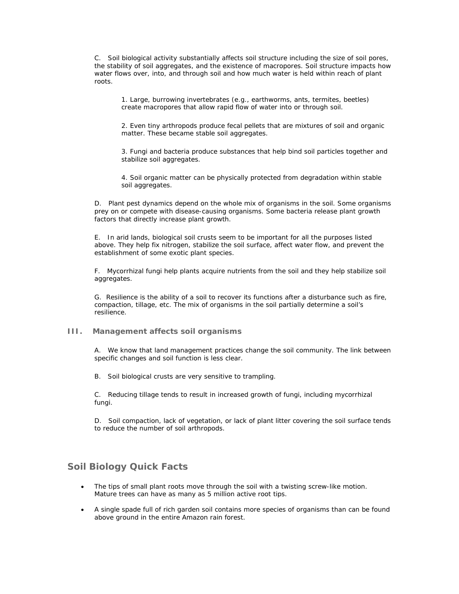C. Soil biological activity substantially affects soil structure including the size of soil pores, the stability of soil aggregates, and the existence of macropores. Soil structure impacts how water flows over, into, and through soil and how much water is held within reach of plant roots.

1. Large, burrowing invertebrates (e.g., earthworms, ants, termites, beetles) create macropores that allow rapid flow of water into or through soil.

2. Even tiny arthropods produce fecal pellets that are mixtures of soil and organic matter. These became stable soil aggregates.

3. Fungi and bacteria produce substances that help bind soil particles together and stabilize soil aggregates.

4. Soil organic matter can be physically protected from degradation within stable soil aggregates.

D. Plant pest dynamics depend on the whole mix of organisms in the soil. Some organisms prey on or compete with disease-causing organisms. Some bacteria release plant growth factors that directly increase plant growth.

E. In arid lands, biological soil crusts seem to be important for all the purposes listed above. They help fix nitrogen, stabilize the soil surface, affect water flow, and prevent the establishment of some exotic plant species.

F. Mycorrhizal fungi help plants acquire nutrients from the soil and they help stabilize soil aggregates.

G. Resilience is the ability of a soil to recover its functions after a disturbance such as fire, compaction, tillage, etc. The mix of organisms in the soil partially determine a soil's resilience.

## **III. Management affects soil organisms**

A. We know that land management practices change the soil community. The link between specific changes and soil function is less clear.

B. Soil biological crusts are very sensitive to trampling.

C. Reducing tillage tends to result in increased growth of fungi, including mycorrhizal fungi.

D. Soil compaction, lack of vegetation, or lack of plant litter covering the soil surface tends to reduce the number of soil arthropods.

## **Soil Biology Quick Facts**

- The tips of small plant roots move through the soil with a twisting screw-like motion. Mature trees can have as many as 5 million active root tips.
- A single spade full of rich garden soil contains more species of organisms than can be found above ground in the entire Amazon rain forest.